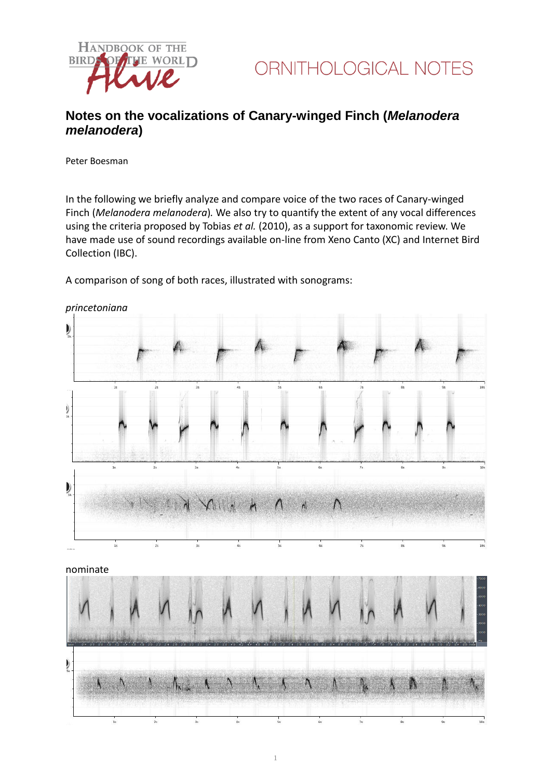



## **Notes on the vocalizations of Canary-winged Finch (***Melanodera melanodera***)**

Peter Boesman

In the following we briefly analyze and compare voice of the two races of Canary-winged Finch (*Melanodera melanodera*)*.* We also try to quantify the extent of any vocal differences using the criteria proposed by Tobias *et al.* (2010), as a support for taxonomic review. We have made use of sound recordings available on-line from Xeno Canto (XC) and Internet Bird Collection (IBC).

A comparison of song of both races, illustrated with sonograms:



*princetoniana*